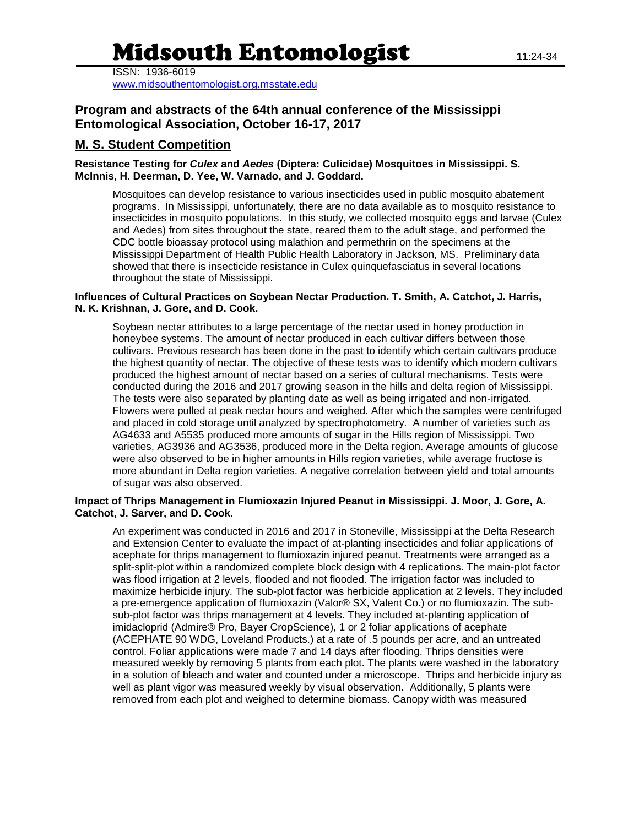# Midsouth Entomologist **<sup>11</sup>**:24-34

ISSN: 1936-6019

[www.midsouthentomologist.org.msstate.edu](http://www.midsouthentomologist.org.msstate.edu/)

# **Program and abstracts of the 64th annual conference of the Mississippi Entomological Association, October 16-17, 2017**

## **M. S. Student Competition**

**Resistance Testing for** *Culex* **and** *Aedes* **(Diptera: Culicidae) Mosquitoes in Mississippi. S. McInnis, H. Deerman, D. Yee, W. Varnado, and J. Goddard.**

Mosquitoes can develop resistance to various insecticides used in public mosquito abatement programs. In Mississippi, unfortunately, there are no data available as to mosquito resistance to insecticides in mosquito populations. In this study, we collected mosquito eggs and larvae (Culex and Aedes) from sites throughout the state, reared them to the adult stage, and performed the CDC bottle bioassay protocol using malathion and permethrin on the specimens at the Mississippi Department of Health Public Health Laboratory in Jackson, MS. Preliminary data showed that there is insecticide resistance in Culex quinquefasciatus in several locations throughout the state of Mississippi.

#### **Influences of Cultural Practices on Soybean Nectar Production. T. Smith, A. Catchot, J. Harris, N. K. Krishnan, J. Gore, and D. Cook.**

Soybean nectar attributes to a large percentage of the nectar used in honey production in honeybee systems. The amount of nectar produced in each cultivar differs between those cultivars. Previous research has been done in the past to identify which certain cultivars produce the highest quantity of nectar. The objective of these tests was to identify which modern cultivars produced the highest amount of nectar based on a series of cultural mechanisms. Tests were conducted during the 2016 and 2017 growing season in the hills and delta region of Mississippi. The tests were also separated by planting date as well as being irrigated and non-irrigated. Flowers were pulled at peak nectar hours and weighed. After which the samples were centrifuged and placed in cold storage until analyzed by spectrophotometry. A number of varieties such as AG4633 and A5535 produced more amounts of sugar in the Hills region of Mississippi. Two varieties, AG3936 and AG3536, produced more in the Delta region. Average amounts of glucose were also observed to be in higher amounts in Hills region varieties, while average fructose is more abundant in Delta region varieties. A negative correlation between yield and total amounts of sugar was also observed.

#### **Impact of Thrips Management in Flumioxazin Injured Peanut in Mississippi. J. Moor, J. Gore, A. Catchot, J. Sarver, and D. Cook.**

An experiment was conducted in 2016 and 2017 in Stoneville, Mississippi at the Delta Research and Extension Center to evaluate the impact of at-planting insecticides and foliar applications of acephate for thrips management to flumioxazin injured peanut. Treatments were arranged as a split-split-plot within a randomized complete block design with 4 replications. The main-plot factor was flood irrigation at 2 levels, flooded and not flooded. The irrigation factor was included to maximize herbicide injury. The sub-plot factor was herbicide application at 2 levels. They included a pre-emergence application of flumioxazin (Valor® SX, Valent Co.) or no flumioxazin. The subsub-plot factor was thrips management at 4 levels. They included at-planting application of imidacloprid (Admire® Pro, Bayer CropScience), 1 or 2 foliar applications of acephate (ACEPHATE 90 WDG, Loveland Products.) at a rate of .5 pounds per acre, and an untreated control. Foliar applications were made 7 and 14 days after flooding. Thrips densities were measured weekly by removing 5 plants from each plot. The plants were washed in the laboratory in a solution of bleach and water and counted under a microscope. Thrips and herbicide injury as well as plant vigor was measured weekly by visual observation. Additionally, 5 plants were removed from each plot and weighed to determine biomass. Canopy width was measured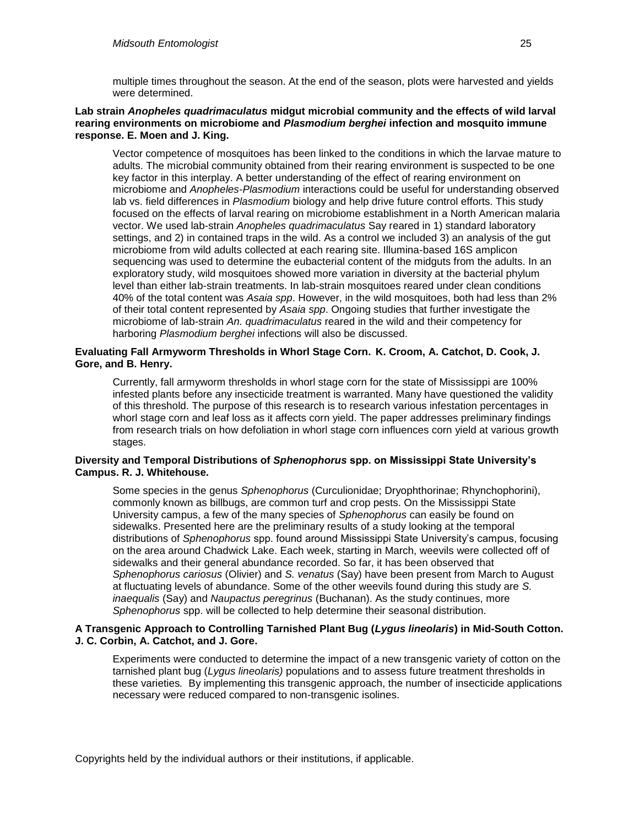multiple times throughout the season. At the end of the season, plots were harvested and yields were determined.

#### **Lab strain** *Anopheles quadrimaculatus* **midgut microbial community and the effects of wild larval rearing environments on microbiome and** *Plasmodium berghei* **infection and mosquito immune response. E. Moen and J. King.**

Vector competence of mosquitoes has been linked to the conditions in which the larvae mature to adults. The microbial community obtained from their rearing environment is suspected to be one key factor in this interplay. A better understanding of the effect of rearing environment on microbiome and *Anopheles-Plasmodium* interactions could be useful for understanding observed lab vs. field differences in *Plasmodium* biology and help drive future control efforts. This study focused on the effects of larval rearing on microbiome establishment in a North American malaria vector. We used lab-strain *Anopheles quadrimaculatus* Say reared in 1) standard laboratory settings, and 2) in contained traps in the wild. As a control we included 3) an analysis of the gut microbiome from wild adults collected at each rearing site. Illumina-based 16S amplicon sequencing was used to determine the eubacterial content of the midguts from the adults. In an exploratory study, wild mosquitoes showed more variation in diversity at the bacterial phylum level than either lab-strain treatments. In lab-strain mosquitoes reared under clean conditions 40% of the total content was *Asaia spp*. However, in the wild mosquitoes, both had less than 2% of their total content represented by *Asaia spp*. Ongoing studies that further investigate the microbiome of lab-strain *An. quadrimaculatus* reared in the wild and their competency for harboring *Plasmodium berghei* infections will also be discussed.

#### **Evaluating Fall Armyworm Thresholds in Whorl Stage Corn. K. Croom, A. Catchot, D. Cook, J. Gore, and B. Henry.**

Currently, fall armyworm thresholds in whorl stage corn for the state of Mississippi are 100% infested plants before any insecticide treatment is warranted. Many have questioned the validity of this threshold. The purpose of this research is to research various infestation percentages in whorl stage corn and leaf loss as it affects corn yield. The paper addresses preliminary findings from research trials on how defoliation in whorl stage corn influences corn yield at various growth stages.

#### **Diversity and Temporal Distributions of** *Sphenophorus* **spp. on Mississippi State University's Campus. R. J. Whitehouse.**

Some species in the genus *Sphenophorus* (Curculionidae; Dryophthorinae; Rhynchophorini), commonly known as billbugs, are common turf and crop pests. On the Mississippi State University campus, a few of the many species of *Sphenophorus* can easily be found on sidewalks. Presented here are the preliminary results of a study looking at the temporal distributions of *Sphenophorus* spp. found around Mississippi State University's campus, focusing on the area around Chadwick Lake. Each week, starting in March, weevils were collected off of sidewalks and their general abundance recorded. So far, it has been observed that *Sphenophorus cariosus* (Olivier) and *S. venatus* (Say) have been present from March to August at fluctuating levels of abundance. Some of the other weevils found during this study are *S. inaequalis* (Say) and *Naupactus peregrinus* (Buchanan). As the study continues, more *Sphenophorus* spp. will be collected to help determine their seasonal distribution.

#### **A Transgenic Approach to Controlling Tarnished Plant Bug (***Lygus lineolaris***) in Mid-South Cotton. J. C. Corbin, A. Catchot, and J. Gore.**

Experiments were conducted to determine the impact of a new transgenic variety of cotton on the tarnished plant bug (*Lygus lineolaris)* populations and to assess future treatment thresholds in these varieties*.* By implementing this transgenic approach, the number of insecticide applications necessary were reduced compared to non-transgenic isolines.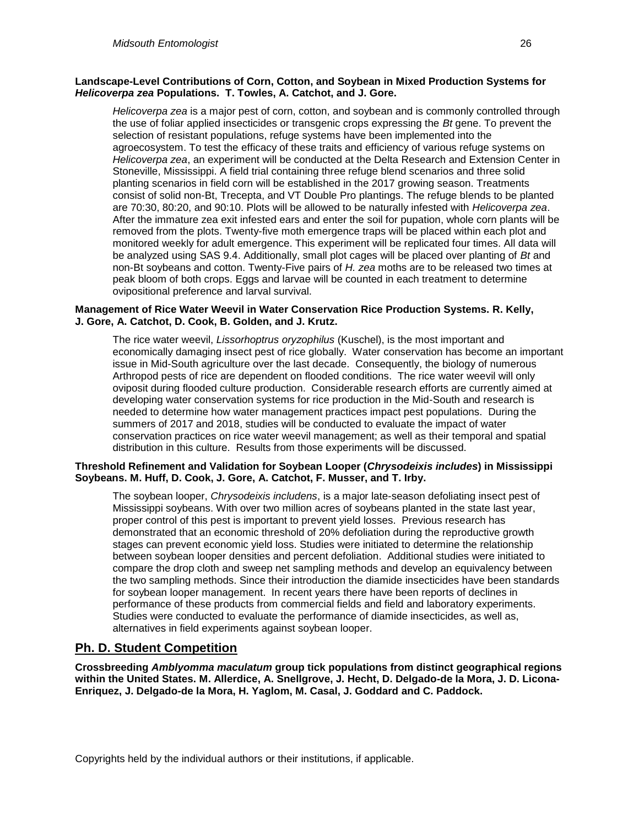#### **Landscape-Level Contributions of Corn, Cotton, and Soybean in Mixed Production Systems for**  *Helicoverpa zea* **Populations. T. Towles, A. Catchot, and J. Gore.**

*Helicoverpa zea* is a major pest of corn, cotton, and soybean and is commonly controlled through the use of foliar applied insecticides or transgenic crops expressing the *Bt* gene. To prevent the selection of resistant populations, refuge systems have been implemented into the agroecosystem. To test the efficacy of these traits and efficiency of various refuge systems on *Helicoverpa zea*, an experiment will be conducted at the Delta Research and Extension Center in Stoneville, Mississippi. A field trial containing three refuge blend scenarios and three solid planting scenarios in field corn will be established in the 2017 growing season. Treatments consist of solid non-Bt, Trecepta, and VT Double Pro plantings. The refuge blends to be planted are 70:30, 80:20, and 90:10. Plots will be allowed to be naturally infested with *Helicoverpa zea*. After the immature zea exit infested ears and enter the soil for pupation, whole corn plants will be removed from the plots. Twenty-five moth emergence traps will be placed within each plot and monitored weekly for adult emergence. This experiment will be replicated four times. All data will be analyzed using SAS 9.4. Additionally, small plot cages will be placed over planting of *Bt* and non-Bt soybeans and cotton. Twenty-Five pairs of *H. zea* moths are to be released two times at peak bloom of both crops. Eggs and larvae will be counted in each treatment to determine ovipositional preference and larval survival.

#### **Management of Rice Water Weevil in Water Conservation Rice Production Systems. R. Kelly, J. Gore, A. Catchot, D. Cook, B. Golden, and J. Krutz.**

The rice water weevil, *Lissorhoptrus oryzophilus* (Kuschel), is the most important and economically damaging insect pest of rice globally. Water conservation has become an important issue in Mid-South agriculture over the last decade. Consequently, the biology of numerous Arthropod pests of rice are dependent on flooded conditions. The rice water weevil will only oviposit during flooded culture production. Considerable research efforts are currently aimed at developing water conservation systems for rice production in the Mid-South and research is needed to determine how water management practices impact pest populations. During the summers of 2017 and 2018, studies will be conducted to evaluate the impact of water conservation practices on rice water weevil management; as well as their temporal and spatial distribution in this culture. Results from those experiments will be discussed.

#### **Threshold Refinement and Validation for Soybean Looper (***Chrysodeixis includes***) in Mississippi Soybeans. M. Huff, D. Cook, J. Gore, A. Catchot, F. Musser, and T. Irby.**

The soybean looper, *Chrysodeixis includens*, is a major late-season defoliating insect pest of Mississippi soybeans. With over two million acres of soybeans planted in the state last year, proper control of this pest is important to prevent yield losses. Previous research has demonstrated that an economic threshold of 20% defoliation during the reproductive growth stages can prevent economic yield loss. Studies were initiated to determine the relationship between soybean looper densities and percent defoliation. Additional studies were initiated to compare the drop cloth and sweep net sampling methods and develop an equivalency between the two sampling methods. Since their introduction the diamide insecticides have been standards for soybean looper management. In recent years there have been reports of declines in performance of these products from commercial fields and field and laboratory experiments. Studies were conducted to evaluate the performance of diamide insecticides, as well as, alternatives in field experiments against soybean looper.

# **Ph. D. Student Competition**

**Crossbreeding** *Amblyomma maculatum* **group tick populations from distinct geographical regions within the United States. M. Allerdice, A. Snellgrove, J. Hecht, D. Delgado-de la Mora, J. D. Licona-Enriquez, J. Delgado-de la Mora, H. Yaglom, M. Casal, J. Goddard and C. Paddock.**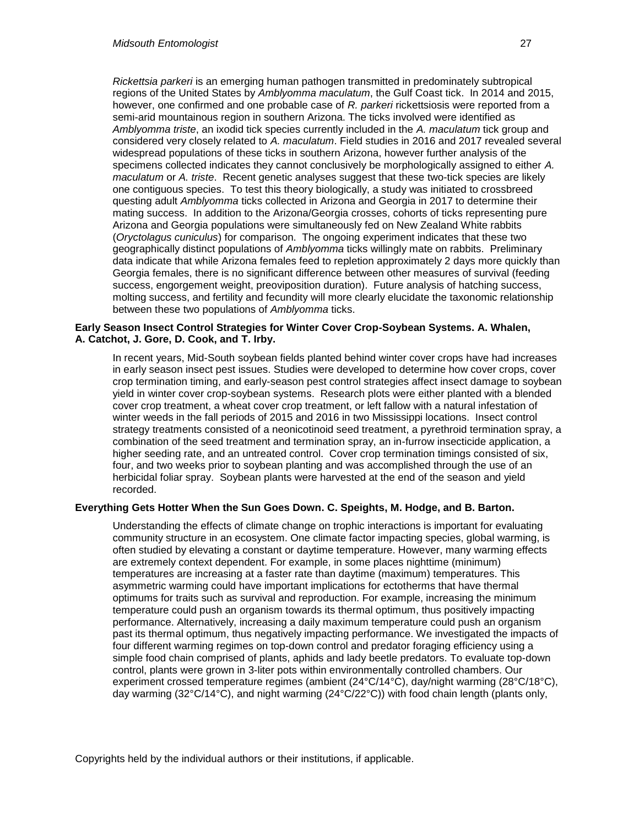*Rickettsia parkeri* is an emerging human pathogen transmitted in predominately subtropical regions of the United States by *Amblyomma maculatum*, the Gulf Coast tick. In 2014 and 2015, however, one confirmed and one probable case of *R. parkeri* rickettsiosis were reported from a semi-arid mountainous region in southern Arizona. The ticks involved were identified as *Amblyomma triste*, an ixodid tick species currently included in the *A. maculatum* tick group and considered very closely related to *A. maculatum*. Field studies in 2016 and 2017 revealed several widespread populations of these ticks in southern Arizona, however further analysis of the specimens collected indicates they cannot conclusively be morphologically assigned to either *A. maculatum* or *A. triste*. Recent genetic analyses suggest that these two-tick species are likely one contiguous species. To test this theory biologically, a study was initiated to crossbreed questing adult *Amblyomma* ticks collected in Arizona and Georgia in 2017 to determine their mating success. In addition to the Arizona/Georgia crosses, cohorts of ticks representing pure Arizona and Georgia populations were simultaneously fed on New Zealand White rabbits (*Oryctolagus cuniculus*) for comparison. The ongoing experiment indicates that these two geographically distinct populations of *Amblyomma* ticks willingly mate on rabbits. Preliminary data indicate that while Arizona females feed to repletion approximately 2 days more quickly than Georgia females, there is no significant difference between other measures of survival (feeding success, engorgement weight, preoviposition duration). Future analysis of hatching success, molting success, and fertility and fecundity will more clearly elucidate the taxonomic relationship between these two populations of *Amblyomma* ticks.

#### **Early Season Insect Control Strategies for Winter Cover Crop-Soybean Systems. A. Whalen, A. Catchot, J. Gore, D. Cook, and T. Irby.**

In recent years, Mid-South soybean fields planted behind winter cover crops have had increases in early season insect pest issues. Studies were developed to determine how cover crops, cover crop termination timing, and early-season pest control strategies affect insect damage to soybean yield in winter cover crop-soybean systems. Research plots were either planted with a blended cover crop treatment, a wheat cover crop treatment, or left fallow with a natural infestation of winter weeds in the fall periods of 2015 and 2016 in two Mississippi locations. Insect control strategy treatments consisted of a neonicotinoid seed treatment, a pyrethroid termination spray, a combination of the seed treatment and termination spray, an in-furrow insecticide application, a higher seeding rate, and an untreated control. Cover crop termination timings consisted of six, four, and two weeks prior to soybean planting and was accomplished through the use of an herbicidal foliar spray. Soybean plants were harvested at the end of the season and yield recorded.

#### **Everything Gets Hotter When the Sun Goes Down. C. Speights, M. Hodge, and B. Barton.**

Understanding the effects of climate change on trophic interactions is important for evaluating community structure in an ecosystem. One climate factor impacting species, global warming, is often studied by elevating a constant or daytime temperature. However, many warming effects are extremely context dependent. For example, in some places nighttime (minimum) temperatures are increasing at a faster rate than daytime (maximum) temperatures. This asymmetric warming could have important implications for ectotherms that have thermal optimums for traits such as survival and reproduction. For example, increasing the minimum temperature could push an organism towards its thermal optimum, thus positively impacting performance. Alternatively, increasing a daily maximum temperature could push an organism past its thermal optimum, thus negatively impacting performance. We investigated the impacts of four different warming regimes on top-down control and predator foraging efficiency using a simple food chain comprised of plants, aphids and lady beetle predators. To evaluate top-down control, plants were grown in 3-liter pots within environmentally controlled chambers. Our experiment crossed temperature regimes (ambient (24°C/14°C), day/night warming (28°C/18°C), day warming (32°C/14°C), and night warming (24°C/22°C)) with food chain length (plants only,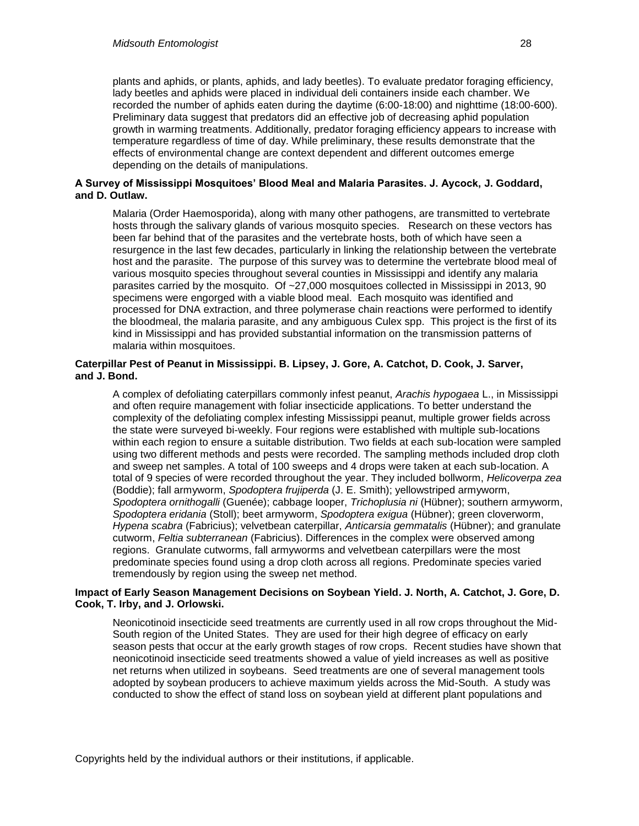plants and aphids, or plants, aphids, and lady beetles). To evaluate predator foraging efficiency, lady beetles and aphids were placed in individual deli containers inside each chamber. We recorded the number of aphids eaten during the daytime (6:00-18:00) and nighttime (18:00-600). Preliminary data suggest that predators did an effective job of decreasing aphid population growth in warming treatments. Additionally, predator foraging efficiency appears to increase with temperature regardless of time of day. While preliminary, these results demonstrate that the effects of environmental change are context dependent and different outcomes emerge depending on the details of manipulations.

#### **A Survey of Mississippi Mosquitoes' Blood Meal and Malaria Parasites. J. Aycock, J. Goddard, and D. Outlaw.**

Malaria (Order Haemosporida), along with many other pathogens, are transmitted to vertebrate hosts through the salivary glands of various mosquito species. Research on these vectors has been far behind that of the parasites and the vertebrate hosts, both of which have seen a resurgence in the last few decades, particularly in linking the relationship between the vertebrate host and the parasite. The purpose of this survey was to determine the vertebrate blood meal of various mosquito species throughout several counties in Mississippi and identify any malaria parasites carried by the mosquito. Of ~27,000 mosquitoes collected in Mississippi in 2013, 90 specimens were engorged with a viable blood meal. Each mosquito was identified and processed for DNA extraction, and three polymerase chain reactions were performed to identify the bloodmeal, the malaria parasite, and any ambiguous Culex spp. This project is the first of its kind in Mississippi and has provided substantial information on the transmission patterns of malaria within mosquitoes.

#### **Caterpillar Pest of Peanut in Mississippi. B. Lipsey, J. Gore, A. Catchot, D. Cook, J. Sarver, and J. Bond.**

A complex of defoliating caterpillars commonly infest peanut, *Arachis hypogaea* L., in Mississippi and often require management with foliar insecticide applications. To better understand the complexity of the defoliating complex infesting Mississippi peanut, multiple grower fields across the state were surveyed bi-weekly. Four regions were established with multiple sub-locations within each region to ensure a suitable distribution. Two fields at each sub-location were sampled using two different methods and pests were recorded. The sampling methods included drop cloth and sweep net samples. A total of 100 sweeps and 4 drops were taken at each sub-location. A total of 9 species of were recorded throughout the year. They included bollworm, *Helicoverpa zea* (Boddie); fall armyworm, *Spodoptera frujiperda* (J. E. Smith); yellowstriped armyworm, *Spodoptera ornithogalli* (Guenée); cabbage looper, *Trichoplusia ni* (Hübner); southern armyworm, *Spodoptera eridania* (Stoll); beet armyworm, *Spodoptera exigua* (Hübner); green cloverworm, *Hypena scabra* (Fabricius); velvetbean caterpillar, *Anticarsia gemmatalis* (Hübner); and granulate cutworm, *Feltia subterranean* (Fabricius). Differences in the complex were observed among regions. Granulate cutworms, fall armyworms and velvetbean caterpillars were the most predominate species found using a drop cloth across all regions. Predominate species varied tremendously by region using the sweep net method.

#### **Impact of Early Season Management Decisions on Soybean Yield. J. North, A. Catchot, J. Gore, D. Cook, T. Irby, and J. Orlowski.**

Neonicotinoid insecticide seed treatments are currently used in all row crops throughout the Mid-South region of the United States. They are used for their high degree of efficacy on early season pests that occur at the early growth stages of row crops. Recent studies have shown that neonicotinoid insecticide seed treatments showed a value of yield increases as well as positive net returns when utilized in soybeans. Seed treatments are one of several management tools adopted by soybean producers to achieve maximum yields across the Mid-South. A study was conducted to show the effect of stand loss on soybean yield at different plant populations and

Copyrights held by the individual authors or their institutions, if applicable.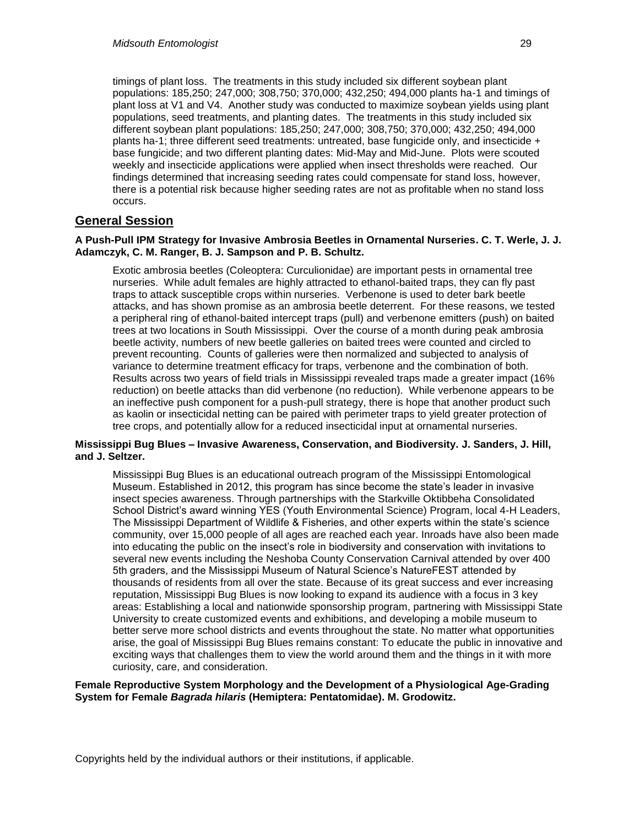timings of plant loss. The treatments in this study included six different soybean plant populations: 185,250; 247,000; 308,750; 370,000; 432,250; 494,000 plants ha-1 and timings of plant loss at V1 and V4. Another study was conducted to maximize soybean yields using plant populations, seed treatments, and planting dates. The treatments in this study included six different soybean plant populations: 185,250; 247,000; 308,750; 370,000; 432,250; 494,000 plants ha-1; three different seed treatments: untreated, base fungicide only, and insecticide + base fungicide; and two different planting dates: Mid-May and Mid-June. Plots were scouted weekly and insecticide applications were applied when insect thresholds were reached. Our findings determined that increasing seeding rates could compensate for stand loss, however, there is a potential risk because higher seeding rates are not as profitable when no stand loss occurs.

### **General Session**

#### **A Push-Pull IPM Strategy for Invasive Ambrosia Beetles in Ornamental Nurseries. C. T. Werle, J. J. Adamczyk, C. M. Ranger, B. J. Sampson and P. B. Schultz.**

Exotic ambrosia beetles (Coleoptera: Curculionidae) are important pests in ornamental tree nurseries. While adult females are highly attracted to ethanol-baited traps, they can fly past traps to attack susceptible crops within nurseries. Verbenone is used to deter bark beetle attacks, and has shown promise as an ambrosia beetle deterrent. For these reasons, we tested a peripheral ring of ethanol-baited intercept traps (pull) and verbenone emitters (push) on baited trees at two locations in South Mississippi. Over the course of a month during peak ambrosia beetle activity, numbers of new beetle galleries on baited trees were counted and circled to prevent recounting. Counts of galleries were then normalized and subjected to analysis of variance to determine treatment efficacy for traps, verbenone and the combination of both. Results across two years of field trials in Mississippi revealed traps made a greater impact (16% reduction) on beetle attacks than did verbenone (no reduction). While verbenone appears to be an ineffective push component for a push-pull strategy, there is hope that another product such as kaolin or insecticidal netting can be paired with perimeter traps to yield greater protection of tree crops, and potentially allow for a reduced insecticidal input at ornamental nurseries.

#### **Mississippi Bug Blues – Invasive Awareness, Conservation, and Biodiversity. J. Sanders, J. Hill, and J. Seltzer.**

Mississippi Bug Blues is an educational outreach program of the Mississippi Entomological Museum. Established in 2012, this program has since become the state's leader in invasive insect species awareness. Through partnerships with the Starkville Oktibbeha Consolidated School District's award winning YES (Youth Environmental Science) Program, local 4-H Leaders, The Mississippi Department of Wildlife & Fisheries, and other experts within the state's science community, over 15,000 people of all ages are reached each year. Inroads have also been made into educating the public on the insect's role in biodiversity and conservation with invitations to several new events including the Neshoba County Conservation Carnival attended by over 400 5th graders, and the Mississippi Museum of Natural Science's NatureFEST attended by thousands of residents from all over the state. Because of its great success and ever increasing reputation, Mississippi Bug Blues is now looking to expand its audience with a focus in 3 key areas: Establishing a local and nationwide sponsorship program, partnering with Mississippi State University to create customized events and exhibitions, and developing a mobile museum to better serve more school districts and events throughout the state. No matter what opportunities arise, the goal of Mississippi Bug Blues remains constant: To educate the public in innovative and exciting ways that challenges them to view the world around them and the things in it with more curiosity, care, and consideration.

#### **Female Reproductive System Morphology and the Development of a Physiological Age-Grading System for Female** *Bagrada hilaris* **(Hemiptera: Pentatomidae). M. Grodowitz.**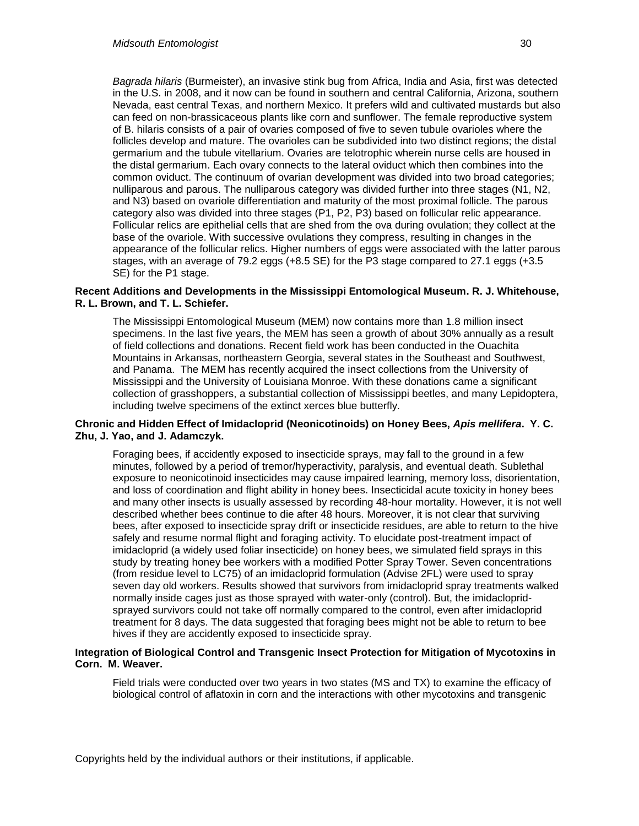*Bagrada hilaris* (Burmeister), an invasive stink bug from Africa, India and Asia, first was detected in the U.S. in 2008, and it now can be found in southern and central California, Arizona, southern Nevada, east central Texas, and northern Mexico. It prefers wild and cultivated mustards but also can feed on non-brassicaceous plants like corn and sunflower. The female reproductive system of B. hilaris consists of a pair of ovaries composed of five to seven tubule ovarioles where the follicles develop and mature. The ovarioles can be subdivided into two distinct regions; the distal germarium and the tubule vitellarium. Ovaries are telotrophic wherein nurse cells are housed in the distal germarium. Each ovary connects to the lateral oviduct which then combines into the common oviduct. The continuum of ovarian development was divided into two broad categories; nulliparous and parous. The nulliparous category was divided further into three stages (N1, N2, and N3) based on ovariole differentiation and maturity of the most proximal follicle. The parous category also was divided into three stages (P1, P2, P3) based on follicular relic appearance. Follicular relics are epithelial cells that are shed from the ova during ovulation; they collect at the base of the ovariole. With successive ovulations they compress, resulting in changes in the appearance of the follicular relics. Higher numbers of eggs were associated with the latter parous stages, with an average of 79.2 eggs (+8.5 SE) for the P3 stage compared to 27.1 eggs (+3.5 SE) for the P1 stage.

#### **Recent Additions and Developments in the Mississippi Entomological Museum. R. J. Whitehouse, R. L. Brown, and T. L. Schiefer.**

The Mississippi Entomological Museum (MEM) now contains more than 1.8 million insect specimens. In the last five years, the MEM has seen a growth of about 30% annually as a result of field collections and donations. Recent field work has been conducted in the Ouachita Mountains in Arkansas, northeastern Georgia, several states in the Southeast and Southwest, and Panama. The MEM has recently acquired the insect collections from the University of Mississippi and the University of Louisiana Monroe. With these donations came a significant collection of grasshoppers, a substantial collection of Mississippi beetles, and many Lepidoptera, including twelve specimens of the extinct xerces blue butterfly.

#### **Chronic and Hidden Effect of Imidacloprid (Neonicotinoids) on Honey Bees,** *Apis mellifera***. Y. C. Zhu, J. Yao, and J. Adamczyk.**

Foraging bees, if accidently exposed to insecticide sprays, may fall to the ground in a few minutes, followed by a period of tremor/hyperactivity, paralysis, and eventual death. Sublethal exposure to neonicotinoid insecticides may cause impaired learning, memory loss, disorientation, and loss of coordination and flight ability in honey bees. Insecticidal acute toxicity in honey bees and many other insects is usually assessed by recording 48-hour mortality. However, it is not well described whether bees continue to die after 48 hours. Moreover, it is not clear that surviving bees, after exposed to insecticide spray drift or insecticide residues, are able to return to the hive safely and resume normal flight and foraging activity. To elucidate post-treatment impact of imidacloprid (a widely used foliar insecticide) on honey bees, we simulated field sprays in this study by treating honey bee workers with a modified Potter Spray Tower. Seven concentrations (from residue level to LC75) of an imidacloprid formulation (Advise 2FL) were used to spray seven day old workers. Results showed that survivors from imidacloprid spray treatments walked normally inside cages just as those sprayed with water-only (control). But, the imidaclopridsprayed survivors could not take off normally compared to the control, even after imidacloprid treatment for 8 days. The data suggested that foraging bees might not be able to return to bee hives if they are accidently exposed to insecticide spray.

#### **Integration of Biological Control and Transgenic Insect Protection for Mitigation of Mycotoxins in Corn. M. Weaver.**

Field trials were conducted over two years in two states (MS and TX) to examine the efficacy of biological control of aflatoxin in corn and the interactions with other mycotoxins and transgenic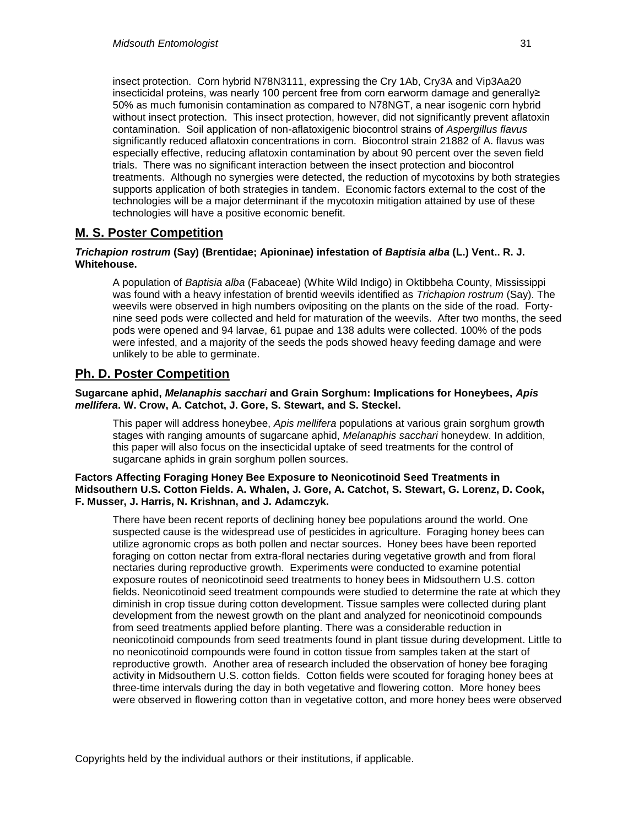insect protection. Corn hybrid N78N3111, expressing the Cry 1Ab, Cry3A and Vip3Aa20 insecticidal proteins, was nearly 100 percent free from corn earworm damage and generally≥ 50% as much fumonisin contamination as compared to N78NGT, a near isogenic corn hybrid without insect protection. This insect protection, however, did not significantly prevent aflatoxin contamination. Soil application of non-aflatoxigenic biocontrol strains of *Aspergillus flavus* significantly reduced aflatoxin concentrations in corn. Biocontrol strain 21882 of A. flavus was especially effective, reducing aflatoxin contamination by about 90 percent over the seven field trials. There was no significant interaction between the insect protection and biocontrol treatments. Although no synergies were detected, the reduction of mycotoxins by both strategies supports application of both strategies in tandem. Economic factors external to the cost of the technologies will be a major determinant if the mycotoxin mitigation attained by use of these technologies will have a positive economic benefit.

# **M. S. Poster Competition**

#### *Trichapion rostrum* **(Say) (Brentidae; Apioninae) infestation of** *Baptisia alba* **(L.) Vent.. R. J. Whitehouse.**

A population of *Baptisia alba* (Fabaceae) (White Wild Indigo) in Oktibbeha County, Mississippi was found with a heavy infestation of brentid weevils identified as *Trichapion rostrum* (Say). The weevils were observed in high numbers ovipositing on the plants on the side of the road. Fortynine seed pods were collected and held for maturation of the weevils. After two months, the seed pods were opened and 94 larvae, 61 pupae and 138 adults were collected. 100% of the pods were infested, and a majority of the seeds the pods showed heavy feeding damage and were unlikely to be able to germinate.

# **Ph. D. Poster Competition**

#### **Sugarcane aphid,** *Melanaphis sacchari* **and Grain Sorghum: Implications for Honeybees,** *Apis mellifera***. W. Crow, A. Catchot, J. Gore, S. Stewart, and S. Steckel.**

This paper will address honeybee, *Apis mellifera* populations at various grain sorghum growth stages with ranging amounts of sugarcane aphid, *Melanaphis sacchari* honeydew. In addition, this paper will also focus on the insecticidal uptake of seed treatments for the control of sugarcane aphids in grain sorghum pollen sources.

#### **Factors Affecting Foraging Honey Bee Exposure to Neonicotinoid Seed Treatments in Midsouthern U.S. Cotton Fields. A. Whalen, J. Gore, A. Catchot, S. Stewart, G. Lorenz, D. Cook, F. Musser, J. Harris, N. Krishnan, and J. Adamczyk.**

There have been recent reports of declining honey bee populations around the world. One suspected cause is the widespread use of pesticides in agriculture. Foraging honey bees can utilize agronomic crops as both pollen and nectar sources. Honey bees have been reported foraging on cotton nectar from extra-floral nectaries during vegetative growth and from floral nectaries during reproductive growth. Experiments were conducted to examine potential exposure routes of neonicotinoid seed treatments to honey bees in Midsouthern U.S. cotton fields. Neonicotinoid seed treatment compounds were studied to determine the rate at which they diminish in crop tissue during cotton development. Tissue samples were collected during plant development from the newest growth on the plant and analyzed for neonicotinoid compounds from seed treatments applied before planting. There was a considerable reduction in neonicotinoid compounds from seed treatments found in plant tissue during development. Little to no neonicotinoid compounds were found in cotton tissue from samples taken at the start of reproductive growth. Another area of research included the observation of honey bee foraging activity in Midsouthern U.S. cotton fields. Cotton fields were scouted for foraging honey bees at three-time intervals during the day in both vegetative and flowering cotton. More honey bees were observed in flowering cotton than in vegetative cotton, and more honey bees were observed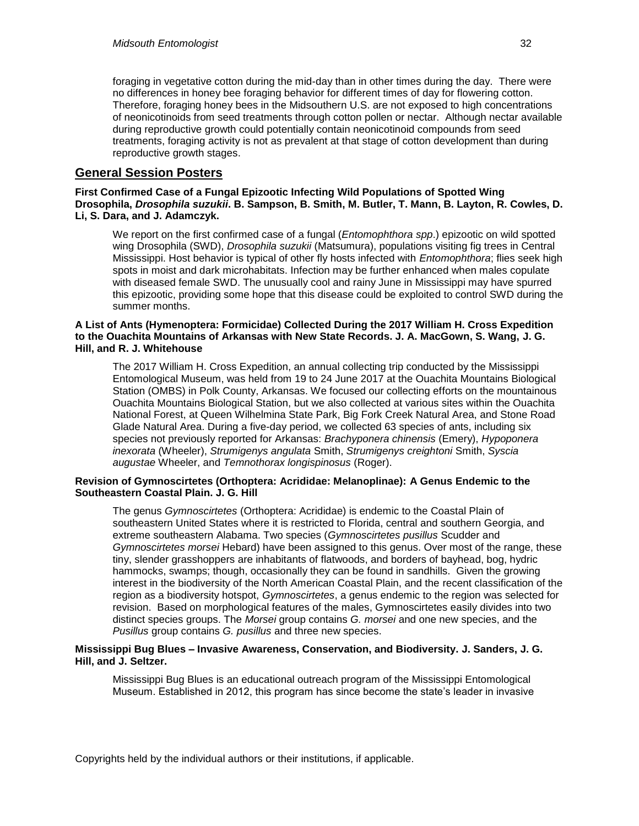foraging in vegetative cotton during the mid-day than in other times during the day. There were no differences in honey bee foraging behavior for different times of day for flowering cotton. Therefore, foraging honey bees in the Midsouthern U.S. are not exposed to high concentrations of neonicotinoids from seed treatments through cotton pollen or nectar. Although nectar available during reproductive growth could potentially contain neonicotinoid compounds from seed treatments, foraging activity is not as prevalent at that stage of cotton development than during reproductive growth stages.

## **General Session Posters**

**First Confirmed Case of a Fungal Epizootic Infecting Wild Populations of Spotted Wing Drosophila,** *Drosophila suzukii***. B. Sampson, B. Smith, M. Butler, T. Mann, B. Layton, R. Cowles, D. Li, S. Dara, and J. Adamczyk.**

We report on the first confirmed case of a fungal (*Entomophthora spp*.) epizootic on wild spotted wing Drosophila (SWD), *Drosophila suzukii* (Matsumura), populations visiting fig trees in Central Mississippi. Host behavior is typical of other fly hosts infected with *Entomophthora*; flies seek high spots in moist and dark microhabitats. Infection may be further enhanced when males copulate with diseased female SWD. The unusually cool and rainy June in Mississippi may have spurred this epizootic, providing some hope that this disease could be exploited to control SWD during the summer months.

#### **A List of Ants (Hymenoptera: Formicidae) Collected During the 2017 William H. Cross Expedition to the Ouachita Mountains of Arkansas with New State Records. J. A. MacGown, S. Wang, J. G. Hill, and R. J. Whitehouse**

The 2017 William H. Cross Expedition, an annual collecting trip conducted by the Mississippi Entomological Museum, was held from 19 to 24 June 2017 at the Ouachita Mountains Biological Station (OMBS) in Polk County, Arkansas. We focused our collecting efforts on the mountainous Ouachita Mountains Biological Station, but we also collected at various sites within the Ouachita National Forest, at Queen Wilhelmina State Park, Big Fork Creek Natural Area, and Stone Road Glade Natural Area. During a five-day period, we collected 63 species of ants, including six species not previously reported for Arkansas: *Brachyponera chinensis* (Emery), *Hypoponera inexorata* (Wheeler), *Strumigenys angulata* Smith, *Strumigenys creightoni* Smith, *Syscia augustae* Wheeler, and *Temnothorax longispinosus* (Roger).

#### **Revision of Gymnoscirtetes (Orthoptera: Acrididae: Melanoplinae): A Genus Endemic to the Southeastern Coastal Plain. J. G. Hill**

The genus *Gymnoscirtetes* (Orthoptera: Acrididae) is endemic to the Coastal Plain of southeastern United States where it is restricted to Florida, central and southern Georgia, and extreme southeastern Alabama. Two species (*Gymnoscirtetes pusillus* Scudder and *Gymnoscirtetes morsei* Hebard) have been assigned to this genus. Over most of the range, these tiny, slender grasshoppers are inhabitants of flatwoods, and borders of bayhead, bog, hydric hammocks, swamps; though, occasionally they can be found in sandhills. Given the growing interest in the biodiversity of the North American Coastal Plain, and the recent classification of the region as a biodiversity hotspot, *Gymnoscirtetes*, a genus endemic to the region was selected for revision. Based on morphological features of the males, Gymnoscirtetes easily divides into two distinct species groups. The *Morsei* group contains *G. morsei* and one new species, and the *Pusillus* group contains *G. pusillus* and three new species.

#### **Mississippi Bug Blues – Invasive Awareness, Conservation, and Biodiversity. J. Sanders, J. G. Hill, and J. Seltzer.**

Mississippi Bug Blues is an educational outreach program of the Mississippi Entomological Museum. Established in 2012, this program has since become the state's leader in invasive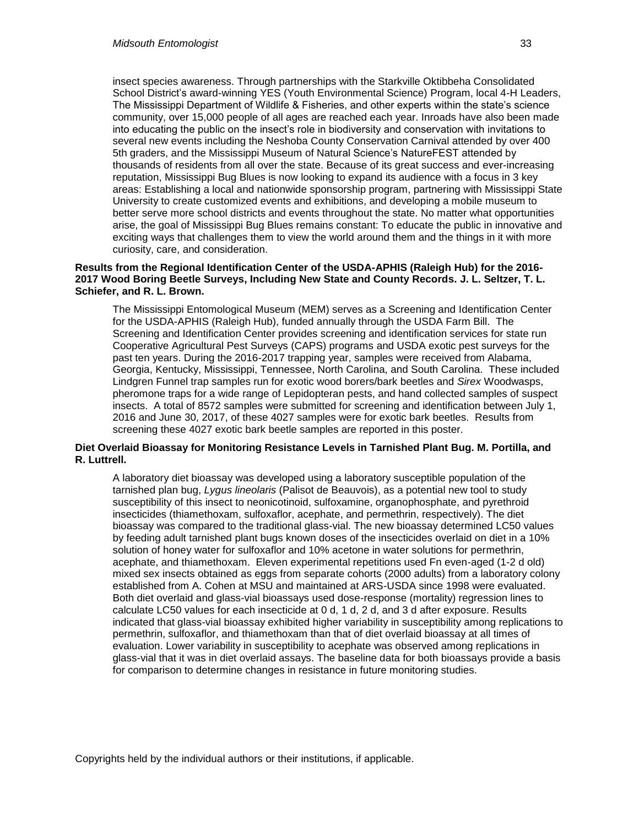insect species awareness. Through partnerships with the Starkville Oktibbeha Consolidated School District's award-winning YES (Youth Environmental Science) Program, local 4-H Leaders, The Mississippi Department of Wildlife & Fisheries, and other experts within the state's science community, over 15,000 people of all ages are reached each year. Inroads have also been made into educating the public on the insect's role in biodiversity and conservation with invitations to several new events including the Neshoba County Conservation Carnival attended by over 400 5th graders, and the Mississippi Museum of Natural Science's NatureFEST attended by thousands of residents from all over the state. Because of its great success and ever-increasing reputation, Mississippi Bug Blues is now looking to expand its audience with a focus in 3 key areas: Establishing a local and nationwide sponsorship program, partnering with Mississippi State University to create customized events and exhibitions, and developing a mobile museum to better serve more school districts and events throughout the state. No matter what opportunities arise, the goal of Mississippi Bug Blues remains constant: To educate the public in innovative and exciting ways that challenges them to view the world around them and the things in it with more curiosity, care, and consideration.

#### **Results from the Regional Identification Center of the USDA-APHIS (Raleigh Hub) for the 2016- 2017 Wood Boring Beetle Surveys, Including New State and County Records. J. L. Seltzer, T. L. Schiefer, and R. L. Brown.**

The Mississippi Entomological Museum (MEM) serves as a Screening and Identification Center for the USDA-APHIS (Raleigh Hub), funded annually through the USDA Farm Bill. The Screening and Identification Center provides screening and identification services for state run Cooperative Agricultural Pest Surveys (CAPS) programs and USDA exotic pest surveys for the past ten years. During the 2016-2017 trapping year, samples were received from Alabama, Georgia, Kentucky, Mississippi, Tennessee, North Carolina, and South Carolina. These included Lindgren Funnel trap samples run for exotic wood borers/bark beetles and *Sirex* Woodwasps, pheromone traps for a wide range of Lepidopteran pests, and hand collected samples of suspect insects. A total of 8572 samples were submitted for screening and identification between July 1, 2016 and June 30, 2017, of these 4027 samples were for exotic bark beetles. Results from screening these 4027 exotic bark beetle samples are reported in this poster.

#### **Diet Overlaid Bioassay for Monitoring Resistance Levels in Tarnished Plant Bug. M. Portilla, and R. Luttrell.**

A laboratory diet bioassay was developed using a laboratory susceptible population of the tarnished plan bug, *Lygus lineolaris* (Palisot de Beauvois), as a potential new tool to study susceptibility of this insect to neonicotinoid, sulfoxamine, organophosphate, and pyrethroid insecticides (thiamethoxam, sulfoxaflor, acephate, and permethrin, respectively). The diet bioassay was compared to the traditional glass-vial. The new bioassay determined LC50 values by feeding adult tarnished plant bugs known doses of the insecticides overlaid on diet in a 10% solution of honey water for sulfoxaflor and 10% acetone in water solutions for permethrin, acephate, and thiamethoxam. Eleven experimental repetitions used Fn even-aged (1-2 d old) mixed sex insects obtained as eggs from separate cohorts (2000 adults) from a laboratory colony established from A. Cohen at MSU and maintained at ARS-USDA since 1998 were evaluated. Both diet overlaid and glass-vial bioassays used dose-response (mortality) regression lines to calculate LC50 values for each insecticide at 0 d, 1 d, 2 d, and 3 d after exposure. Results indicated that glass-vial bioassay exhibited higher variability in susceptibility among replications to permethrin, sulfoxaflor, and thiamethoxam than that of diet overlaid bioassay at all times of evaluation. Lower variability in susceptibility to acephate was observed among replications in glass-vial that it was in diet overlaid assays. The baseline data for both bioassays provide a basis for comparison to determine changes in resistance in future monitoring studies.

Copyrights held by the individual authors or their institutions, if applicable.